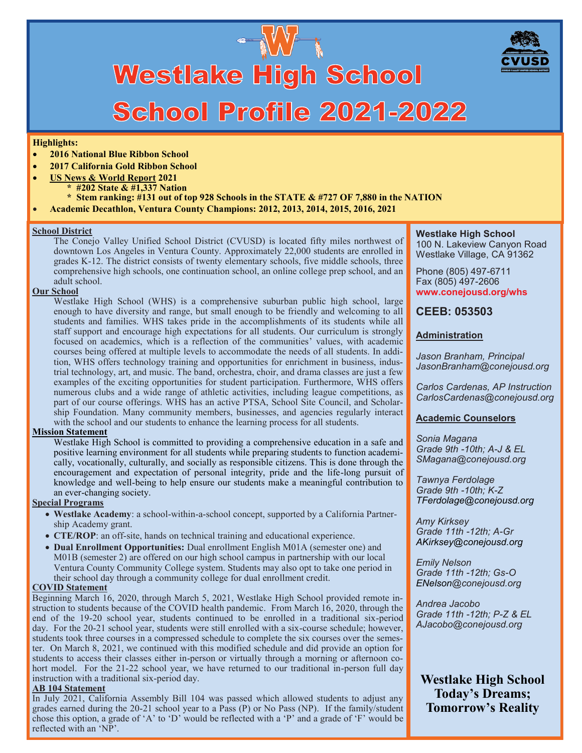

# **Westlake High School** School Profile 2021-2022

#### **Highlights:**

- **2016 National Blue Ribbon School**
- **2017 California Gold Ribbon School**

#### • **US News & World Report 2021**

- **\* #202 State & #1,337 Nation**
- **\* Stem ranking: #131 out of top 928 Schools in the STATE & #727 OF 7,880 in the NATION**
- **Academic Decathlon, Ventura County Champions: 2012, 2013, 2014, 2015, 2016, 2021**

#### **School District**

The Conejo Valley Unified School District (CVUSD) is located fifty miles northwest of downtown Los Angeles in Ventura County. Approximately 22,000 students are enrolled in grades K-12. The district consists of twenty elementary schools, five middle schools, three comprehensive high schools, one continuation school, an online college prep school, and an adult school.

#### **Our School**

Westlake High School (WHS) is a comprehensive suburban public high school, large enough to have diversity and range, but small enough to be friendly and welcoming to all students and families. WHS takes pride in the accomplishments of its students while all staff support and encourage high expectations for all students. Our curriculum is strongly focused on academics, which is a reflection of the communities' values, with academic courses being offered at multiple levels to accommodate the needs of all students. In addition, WHS offers technology training and opportunities for enrichment in business, industrial technology, art, and music. The band, orchestra, choir, and drama classes are just a few examples of the exciting opportunities for student participation. Furthermore, WHS offers numerous clubs and a wide range of athletic activities, including league competitions, as part of our course offerings. WHS has an active PTSA, School Site Council, and Scholarship Foundation. Many community members, businesses, and agencies regularly interact with the school and our students to enhance the learning process for all students.

#### **Mission Statement**

Westlake High School is committed to providing a comprehensive education in a safe and positive learning environment for all students while preparing students to function academically, vocationally, culturally, and socially as responsible citizens. This is done through the encouragement and expectation of personal integrity, pride and the life-long pursuit of knowledge and well-being to help ensure our students make a meaningful contribution to an ever-changing society.

#### **Special Programs**

- **Westlake Academy**: a school-within-a-school concept, supported by a California Partnership Academy grant.
- **CTE/ROP**: an off-site, hands on technical training and educational experience.
- **Dual Enrollment Opportunities:** Dual enrollment English M01A (semester one) and M01B (semester 2) are offered on our high school campus in partnership with our local Ventura County Community College system. Students may also opt to take one period in their school day through a community college for dual enrollment credit.

#### **COVID Statement**

Beginning March 16, 2020, through March 5, 2021, Westlake High School provided remote instruction to students because of the COVID health pandemic. From March 16, 2020, through the end of the 19-20 school year, students continued to be enrolled in a traditional six-period day. For the 20-21 school year, students were still enrolled with a six-course schedule; however, students took three courses in a compressed schedule to complete the six courses over the semester. On March 8, 2021, we continued with this modified schedule and did provide an option for students to access their classes either in-person or virtually through a morning or afternoon cohort model. For the 21-22 school year, we have returned to our traditional in-person full day instruction with a traditional six-period day.

#### **AB 104 Statement**

In July 2021, California Assembly Bill 104 was passed which allowed students to adjust any grades earned during the 20-21 school year to a Pass (P) or No Pass (NP). If the family/student chose this option, a grade of 'A' to 'D' would be reflected with a 'P' and a grade of 'F' would be reflected with an 'NP'.

**Westlake High School** 100 N. Lakeview Canyon Road Westlake Village, CA 91362

Phone (805) 497-6711 Fax (805) 497-2606 **www.conejousd.org/whs**

## **CEEB: 053503**

## **Administration**

*Jason Branham, Principal JasonBranham@conejousd.org*

*Carlos Cardenas, AP Instruction CarlosCardenas@conejousd.org*

#### **Academic Counselors**

*Sonia Magana Grade 9th -10th; A-J & EL SMagana@conejousd.org*

*Tawnya Ferdolage Grade 9th -10th; K-Z TFerdolage@conejousd.org*

*Amy Kirksey Grade 11th -12th; A-Gr AKirksey@conejousd.org*

*Emily Nelson Grade 11th -12th; Gs-O ENelson@conejousd.org*

*Andrea Jacobo Grade 11th -12th; P-Z & EL AJacobo@conejousd.org*

**Westlake High School Today's Dreams; Tomorrow's Reality**